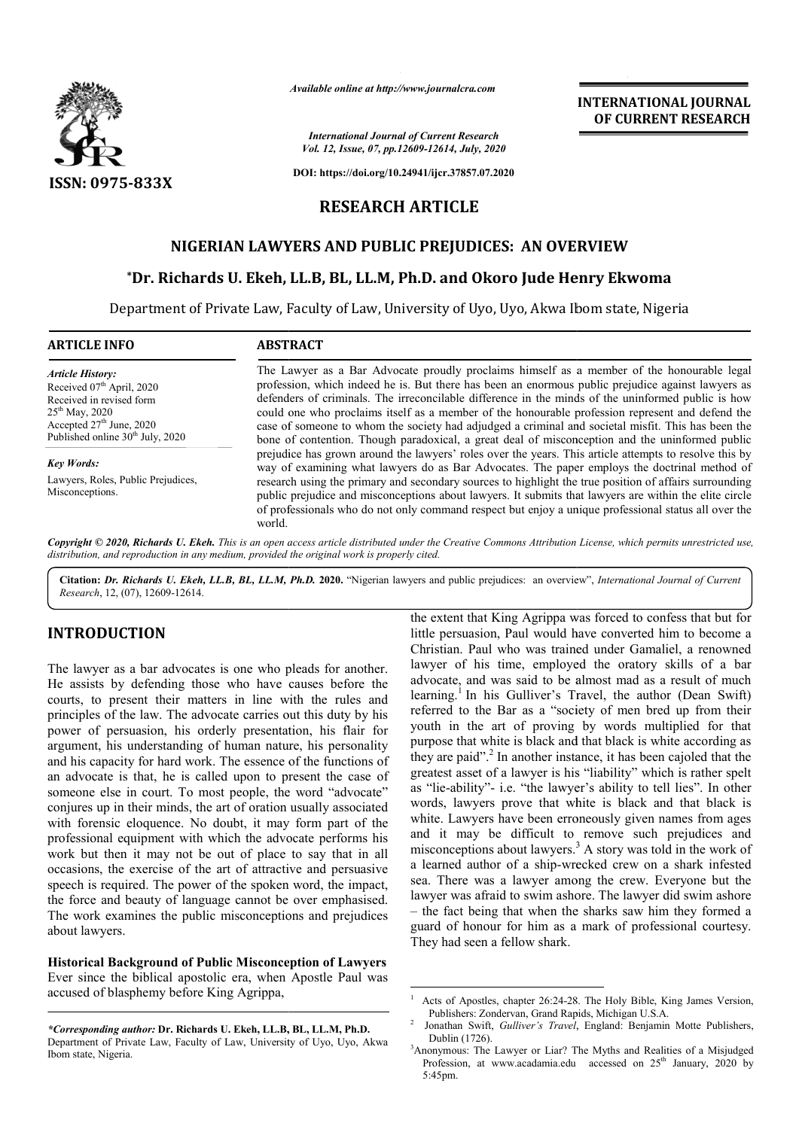

*Available online at http://www.journalcra.com*

*International Journal of Current Research Vol. 12, Issue, 07, pp.12609-12614, July, 2020*

**DOI: https://doi.org/10.24941/ijcr.37857.07.2020**

## **RESEARCH ARTICLE**

# **NIGERIAN LAWYERS AND PUBLIC PREJUDICES: AN OVERVIEW**

### **\*Dr. Richards U. Ekeh, LL.B, BL, LL.M, Ph.D Dr. Ph.D. and Okoro Jude Henry Ekwoma Ekwoma**

Department of Private Law, Faculty of Law, University of Uyo, Uyo, Akwa Ibom state, Nigeria

**ARTICLE INFO ABSTRACT**

*Article History:* Received 07<sup>th</sup> April, 2020 Received in revised form  $25^{\rm th}$  May, 2020 Accepted  $27<sup>th</sup>$  June, 2020 Published online  $30<sup>th</sup>$  July, 2020

*Key Words:*

Misconceptions.

The Lawyer as a Bar Advocate proudly proclaims himself as a member of the honourable legal profession, which indeed he is. But there has been an enormous public prejudice against lawyers as profession, which indeed he is. But there has been an enormous public prejudice against lawyers as defenders of criminals. The irreconcilable difference in the minds of the uninformed public is how could one who proclaims itself as a member of the honourable profession represent and defend the case of someone to whom the society had adjudged a criminal and societal misfit. This has been the could one who proclaims itself as a member of the honourable profession represent and defend the case of someone to whom the society had adjudged a criminal and societal misfit. This has been the bone of contention. Though prejudice has grown around the lawyers' roles over the years. This article attempts to resolve this by way of examining what lawyers do as Bar Advocates. The paper employs the doctrinal method of research using the primary and secondary sources to highlight the true position of affairs surrounding public prejudice and misconceptions about lawyers. It submits that lawyers are within the elite circle of professionals who do not only command respect but enjoy a unique professional status all over the world. prejudice has grown around the lawyers' roles over the years. This article attempts to resolve this by way of examining what lawyers do as Bar Advocates. The paper employs the doctrinal method of research using the primary

Copyright © 2020, Richards U. Ekeh. This is an open access article distributed under the Creative Commons Attribution License, which permits unrestricted use, *distribution, and reproduction in any medium, provided the original work is properly cited.*

Citation: Dr. Richards U. Ekeh, LL.B, BL, LL.M, Ph.D. 2020. "Nigerian lawyers and public prejudices: an overview", International Journal of Current *Research*, 12, (07), 12609-12614.

#### **INTRODUCTION**

Lawyers, Roles, Public Prejudices,

The lawyer as a bar advocates is one who pleads for another. He assists by defending those who have causes before the courts, to present their matters in line with the rules and principles of the law. The advocate carries out this duty by his power of persuasion, his orderly presentation, his flair for argument, his understanding of human nature, his personality and his capacity for hard work. The essence of the functions of an advocate is that, he is called upon to present the case of someone else in court. To most people, the word "advocate" conjures up in their minds, the art of oration usually associated with forensic eloquence. No doubt, it may form part of the professional equipment with which the advocate performs his work but then it may not be out of place to say that in all occasions, the exercise of the art of attractive and persuasive speech is required. The power of the spoken word, the impact, the force and beauty of language cannot be over emphasised. The work examines the public misconceptions and prejudices about lawyers. one else in court. To mos<br>rres up in their minds, the a<br>forensic eloquence. No d<br>ssional equipment with wh<br>but then it may not be<br>ions, the exercise of the a<br>h is required. The power of<br>prover and beauty of langua,<br>work ex

**Historical Background of Public Misconception of Lawyers** Ever since the biblical apostolic era, when Apostle Paul was accused of blasphemy before King Agrippa,

*\*Corresponding author:* **Dr. Richards U. Ekeh, LL.B, BL, LL.M, Ph.D.**  Department of Private Law, Faculty of Law, University of Uyo, Uyo, Akwa Ibom state, Nigeria.

the extent that King Agrippa was forced to confess that but for<br>the extuality and would have converted him to become a<br>Christian. Paul who was trained under Gamaliel, a renowned<br>have causes before the advocate, and was sai little persuasion, Paul would have converted him to become a Christian. Paul who was trained under Gamaliel, a renowned lawyer of his time, employed the oratory skills of a bar advocate, and was said to be almost mad as a result of much learning.<sup>1</sup> In his Gulliver's Travel, the author (Dean Swift) referred to the Bar as a "society of men bred up from their youth in the art of proving by words multiplied for that purpose that white is black and that black is white according as they are paid".<sup>2</sup> In another instance, it has been cajoled that the greatest asset of a lawyer is his "liability" which is rather spelt as "lie-ability"- i.e. "the lawyer's ability to tell lies". In other words, lawyers prove that white is black and that black is white. Lawyers have been erroneously given names from ages and it may be difficult to remove misconceptions about lawyers.<sup>3</sup> a learned author of a ship-wrecked crew on a shark infested sea. There was a lawyer among the crew. Everyone but the lawyer was afraid to swim ashore. The lawyer did swim as – the fact being that when the sharks saw him they formed a guard of honour for him as a mark of professional courtesy. They had seen a fellow shark. little persuasion, Paul would have converted him to become a Christian. Paul who was trained under Gamaliel, a renowned lawyer of his time, employed the oratory skills of a bar advocate, and was said to be almost mad as a as "lie-ability"- i.e. "the lawyer's ability to tell lies". In other words, lawyers prove that white is black and that black is white. Lawyers have been erroneously given names from ages and it may be difficult to remove s  $3$  A story was told in the work of rned author of a ship-wrecked crew on a shark infested<br>There was a lawyer among the crew. Everyone but the<br>er was afraid to swim ashore. The lawyer did swim ashore when the sharks saw him they formed a him as a mark of professional courtesy.<br>w shark.

**INTERNATIONAL JOURNAL OF CURRENT RESEARCH**

 $\frac{1}{1}$ Acts of Apostles, chapter 26:24-28. The Holy Bible, King James Version, Publishers: Zondervan, Grand Rapids, Michigan U.S.A.  $\overline{2}$ 

Jonathan Swift, *Gulliver's Travel*, England: Benjamin Motte Publishers, Dublin (1726). <sup>2</sup> Jonathan Swift, *Gulliver's Travel*, England: Benjamin Motte Publishers, Dublin (1726).<br><sup>3</sup>Anonymous: The Lawyer or Liar? The Myths and Realities of a Misjudged

Profession, at www.acadamia.edu accessed on 25<sup>th</sup> January, 2020 by 5:45pm.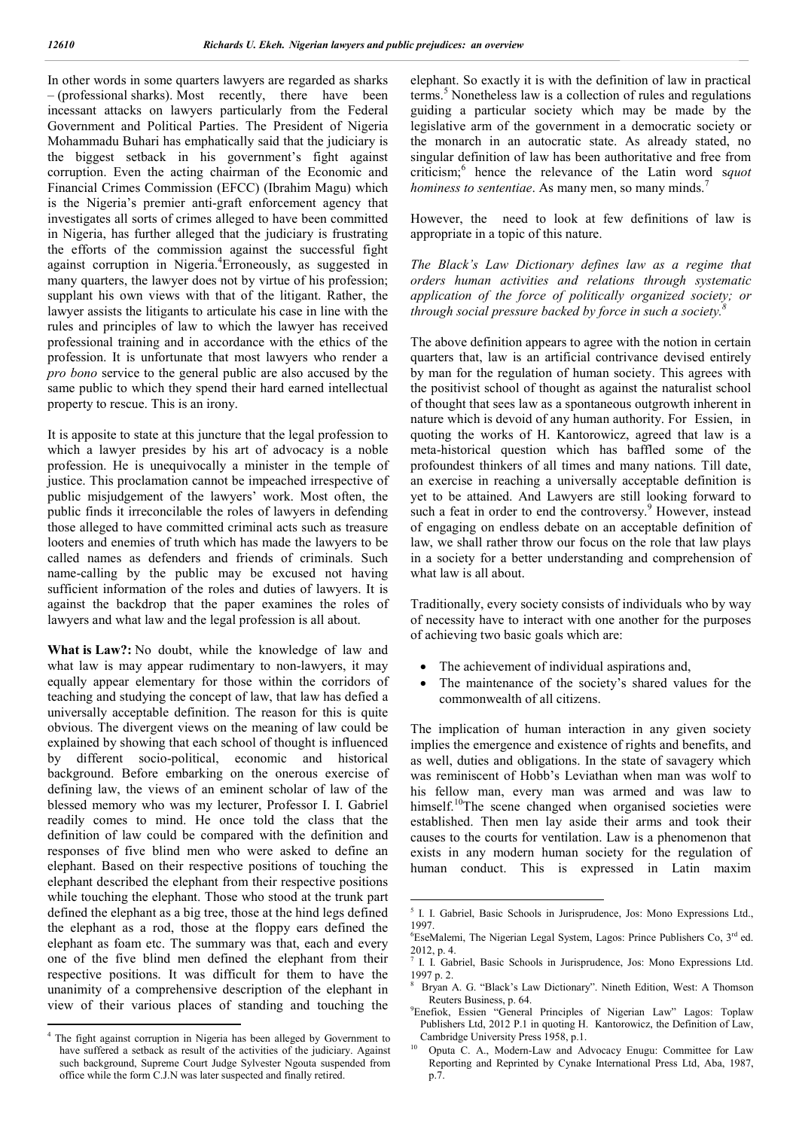In other words in some quarters lawyers are regarded as sharks – (professional sharks). Most recently, there have been incessant attacks on lawyers particularly from the Federal Government and Political Parties. The President of Nigeria Mohammadu Buhari has emphatically said that the judiciary is the biggest setback in his government's fight against corruption. Even the acting chairman of the Economic and Financial Crimes Commission (EFCC) (Ibrahim Magu) which is the Nigeria's premier anti-graft enforcement agency that investigates all sorts of crimes alleged to have been committed in Nigeria, has further alleged that the judiciary is frustrating the efforts of the commission against the successful fight against corruption in Nigeria.<sup>4</sup>Erroneously, as suggested in many quarters, the lawyer does not by virtue of his profession; supplant his own views with that of the litigant. Rather, the lawyer assists the litigants to articulate his case in line with the rules and principles of law to which the lawyer has received professional training and in accordance with the ethics of the profession. It is unfortunate that most lawyers who render a *pro bono* service to the general public are also accused by the same public to which they spend their hard earned intellectual property to rescue. This is an irony.

It is apposite to state at this juncture that the legal profession to which a lawyer presides by his art of advocacy is a noble profession. He is unequivocally a minister in the temple of justice. This proclamation cannot be impeached irrespective of public misjudgement of the lawyers' work. Most often, the public finds it irreconcilable the roles of lawyers in defending those alleged to have committed criminal acts such as treasure looters and enemies of truth which has made the lawyers to be called names as defenders and friends of criminals. Such name-calling by the public may be excused not having sufficient information of the roles and duties of lawyers. It is against the backdrop that the paper examines the roles of lawyers and what law and the legal profession is all about.

**What is Law?:** No doubt, while the knowledge of law and what law is may appear rudimentary to non-lawyers, it may equally appear elementary for those within the corridors of teaching and studying the concept of law, that law has defied a universally acceptable definition. The reason for this is quite obvious. The divergent views on the meaning of law could be explained by showing that each school of thought is influenced by different socio-political, economic and historical background. Before embarking on the onerous exercise of defining law, the views of an eminent scholar of law of the blessed memory who was my lecturer, Professor I. I. Gabriel readily comes to mind. He once told the class that the definition of law could be compared with the definition and responses of five blind men who were asked to define an elephant. Based on their respective positions of touching the elephant described the elephant from their respective positions while touching the elephant. Those who stood at the trunk part defined the elephant as a big tree, those at the hind legs defined the elephant as a rod, those at the floppy ears defined the elephant as foam etc. The summary was that, each and every one of the five blind men defined the elephant from their respective positions. It was difficult for them to have the unanimity of a comprehensive description of the elephant in view of their various places of standing and touching the elephant. So exactly it is with the definition of law in practical terms.<sup>5</sup> Nonetheless law is a collection of rules and regulations guiding a particular society which may be made by the legislative arm of the government in a democratic society or the monarch in an autocratic state. As already stated, no singular definition of law has been authoritative and free from criticism;<sup>6</sup> hence the relevance of the Latin word s*quot hominess to sententiae.* As many men, so many minds.<sup>7</sup>

However, the need to look at few definitions of law is appropriate in a topic of this nature.

*The Black's Law Dictionary defines law as a regime that orders human activities and relations through systematic application of the force of politically organized society; or through social pressure backed by force in such a society.8*

The above definition appears to agree with the notion in certain quarters that, law is an artificial contrivance devised entirely by man for the regulation of human society. This agrees with the positivist school of thought as against the naturalist school of thought that sees law as a spontaneous outgrowth inherent in nature which is devoid of any human authority. For Essien, in quoting the works of H. Kantorowicz, agreed that law is a meta-historical question which has baffled some of the profoundest thinkers of all times and many nations. Till date, an exercise in reaching a universally acceptable definition is yet to be attained. And Lawyers are still looking forward to such a feat in order to end the controversy.<sup>9</sup> However, instead of engaging on endless debate on an acceptable definition of law, we shall rather throw our focus on the role that law plays in a society for a better understanding and comprehension of what law is all about.

Traditionally, every society consists of individuals who by way of necessity have to interact with one another for the purposes of achieving two basic goals which are:

- The achievement of individual aspirations and,
- The maintenance of the society's shared values for the commonwealth of all citizens.

The implication of human interaction in any given society implies the emergence and existence of rights and benefits, and as well, duties and obligations. In the state of savagery which was reminiscent of Hobb's Leviathan when man was wolf to his fellow man, every man was armed and was law to himself.<sup>10</sup>The scene changed when organised societies were established. Then men lay aside their arms and took their causes to the courts for ventilation. Law is a phenomenon that exists in any modern human society for the regulation of human conduct. This is expressed in Latin maxim

<sup>&</sup>lt;sup>4</sup> The fight against corruption in Nigeria has been alleged by Government to have suffered a setback as result of the activities of the judiciary. Against such background, Supreme Court Judge Sylvester Ngouta suspended from office while the form C.J.N was later suspected and finally retired.

 <sup>5</sup> I. I. Gabriel, Basic Schools in Jurisprudence, Jos: Mono Expressions Ltd., 1997.

<sup>&</sup>lt;sup>6</sup>EseMalemi, The Nigerian Legal System, Lagos: Prince Publishers Co, 3<sup>rd</sup> ed. 2012, p. 4.

 $\frac{7}{7}$  I. I. Gabriel, Basic Schools in Jurisprudence, Jos: Mono Expressions Ltd. 1997 p. 2.

<sup>8</sup> Bryan A. G. "Black's Law Dictionary". Nineth Edition, West: A Thomson Reuters Business, p. 64.

Enefiok, Essien "General Principles of Nigerian Law" Lagos: Toplaw Publishers Ltd, 2012 P.1 in quoting H. Kantorowicz, the Definition of Law, Cambridge University Press 1958, p.1.

<sup>10</sup> Oputa C. A., Modern-Law and Advocacy Enugu: Committee for Law Reporting and Reprinted by Cynake International Press Ltd, Aba, 1987, p.7.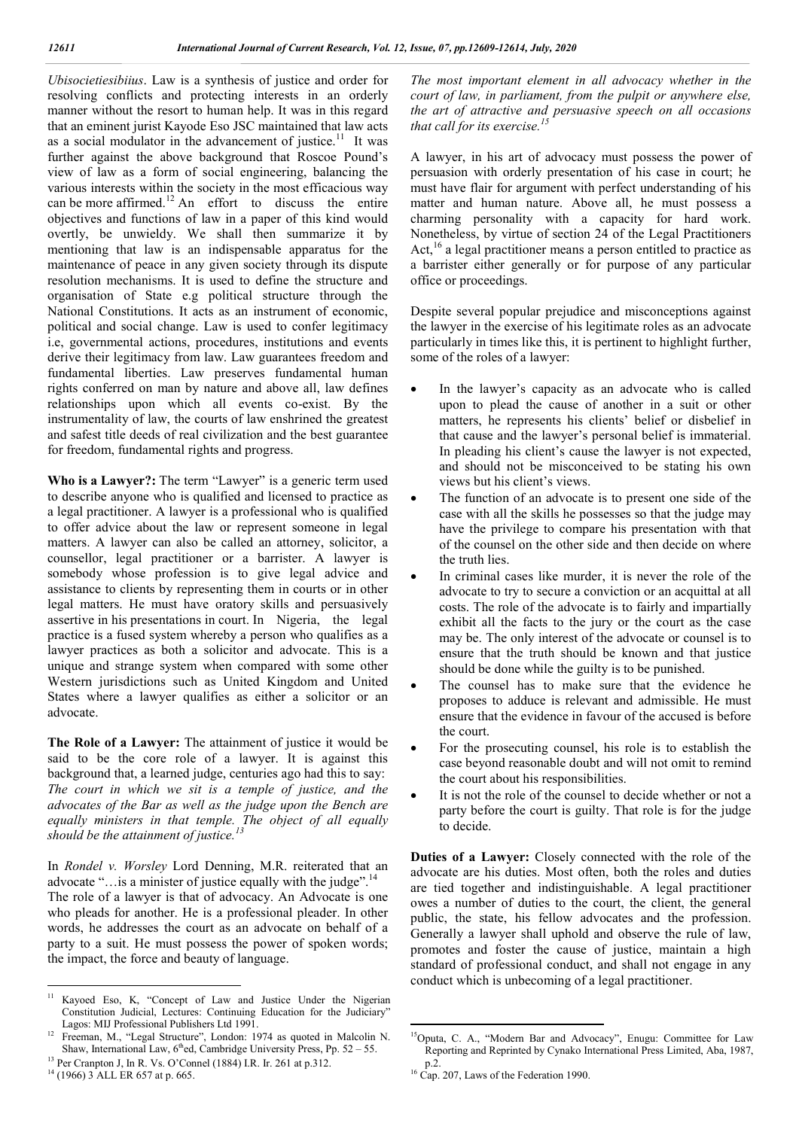*Ubisocietiesibiius*. Law is a synthesis of justice and order for resolving conflicts and protecting interests in an orderly manner without the resort to human help. It was in this regard that an eminent jurist Kayode Eso JSC maintained that law acts as a social modulator in the advancement of justice.<sup>11</sup> It was further against the above background that Roscoe Pound's view of law as a form of social engineering, balancing the various interests within the society in the most efficacious way can be more affirmed.<sup>12</sup> An effort to discuss the entire objectives and functions of law in a paper of this kind would overtly, be unwieldy. We shall then summarize it by mentioning that law is an indispensable apparatus for the maintenance of peace in any given society through its dispute resolution mechanisms. It is used to define the structure and organisation of State e.g political structure through the National Constitutions. It acts as an instrument of economic, political and social change. Law is used to confer legitimacy i.e, governmental actions, procedures, institutions and events derive their legitimacy from law. Law guarantees freedom and fundamental liberties. Law preserves fundamental human rights conferred on man by nature and above all, law defines relationships upon which all events co-exist. By the instrumentality of law, the courts of law enshrined the greatest and safest title deeds of real civilization and the best guarantee for freedom, fundamental rights and progress.

**Who is a Lawyer?:** The term "Lawyer" is a generic term used to describe anyone who is qualified and licensed to practice as a legal practitioner. A lawyer is a professional who is qualified to offer advice about the law or represent someone in legal matters. A lawyer can also be called an attorney, solicitor, a counsellor, legal practitioner or a barrister. A lawyer is somebody whose profession is to give legal advice and assistance to clients by representing them in courts or in other legal matters. He must have oratory skills and persuasively assertive in his presentations in court. In Nigeria, the legal practice is a fused system whereby a person who qualifies as a lawyer practices as both a solicitor and advocate. This is a unique and strange system when compared with some other Western jurisdictions such as United Kingdom and United States where a lawyer qualifies as either a solicitor or an advocate.

**The Role of a Lawyer:** The attainment of justice it would be said to be the core role of a lawyer. It is against this background that, a learned judge, centuries ago had this to say: *The court in which we sit is a temple of justice, and the advocates of the Bar as well as the judge upon the Bench are equally ministers in that temple. The object of all equally should be the attainment of justice.<sup>13</sup>*

In *Rondel v. Worsley* Lord Denning, M.R. reiterated that an advocate "... is a minister of justice equally with the judge".<sup>14</sup> The role of a lawyer is that of advocacy. An Advocate is one who pleads for another. He is a professional pleader. In other words, he addresses the court as an advocate on behalf of a party to a suit. He must possess the power of spoken words; the impact, the force and beauty of language.

*The most important element in all advocacy whether in the court of law, in parliament, from the pulpit or anywhere else, the art of attractive and persuasive speech on all occasions that call for its exercise.<sup>15</sup>*

A lawyer, in his art of advocacy must possess the power of persuasion with orderly presentation of his case in court; he must have flair for argument with perfect understanding of his matter and human nature. Above all, he must possess a charming personality with a capacity for hard work. Nonetheless, by virtue of section 24 of the Legal Practitioners Act,<sup>16</sup> a legal practitioner means a person entitled to practice as a barrister either generally or for purpose of any particular office or proceedings.

Despite several popular prejudice and misconceptions against the lawyer in the exercise of his legitimate roles as an advocate particularly in times like this, it is pertinent to highlight further, some of the roles of a lawyer:

- In the lawyer's capacity as an advocate who is called upon to plead the cause of another in a suit or other matters, he represents his clients' belief or disbelief in that cause and the lawyer's personal belief is immaterial. In pleading his client's cause the lawyer is not expected, and should not be misconceived to be stating his own views but his client's views.
- The function of an advocate is to present one side of the case with all the skills he possesses so that the judge may have the privilege to compare his presentation with that of the counsel on the other side and then decide on where the truth lies.
- In criminal cases like murder, it is never the role of the advocate to try to secure a conviction or an acquittal at all costs. The role of the advocate is to fairly and impartially exhibit all the facts to the jury or the court as the case may be. The only interest of the advocate or counsel is to ensure that the truth should be known and that justice should be done while the guilty is to be punished.
- The counsel has to make sure that the evidence he proposes to adduce is relevant and admissible. He must ensure that the evidence in favour of the accused is before the court.
- For the prosecuting counsel, his role is to establish the case beyond reasonable doubt and will not omit to remind the court about his responsibilities.
- It is not the role of the counsel to decide whether or not a party before the court is guilty. That role is for the judge to decide.

**Duties of a Lawyer:** Closely connected with the role of the advocate are his duties. Most often, both the roles and duties are tied together and indistinguishable. A legal practitioner owes a number of duties to the court, the client, the general public, the state, his fellow advocates and the profession. Generally a lawyer shall uphold and observe the rule of law, promotes and foster the cause of justice, maintain a high standard of professional conduct, and shall not engage in any conduct which is unbecoming of a legal practitioner.

<sup>&</sup>lt;sup>11</sup> Kayoed Eso, K, "Concept of Law and Justice Under the Nigerian Constitution Judicial, Lectures: Continuing Education for the Judiciary" Lagos: MIJ Professional Publishers Ltd 1991.

<sup>&</sup>lt;sup>12</sup> Freeman, M., "Legal Structure", London: 1974 as quoted in Malcolin N. Shaw, International Law,  $6<sup>th</sup>$ ed, Cambridge University Press, Pp. 52 – 55.

<sup>&</sup>lt;sup>13</sup> Per Cranpton J, In R. Vs. O'Connel (1884) I.R. Ir. 261 at p.312. <sup>14</sup> (1966) 3 ALL ER 657 at p. 665.

 <sup>15</sup>Oputa, C. A., "Modern Bar and Advocacy", Enugu: Committee for Law Reporting and Reprinted by Cynako International Press Limited, Aba, 1987,

 $^{16}$  Cap. 207, Laws of the Federation 1990.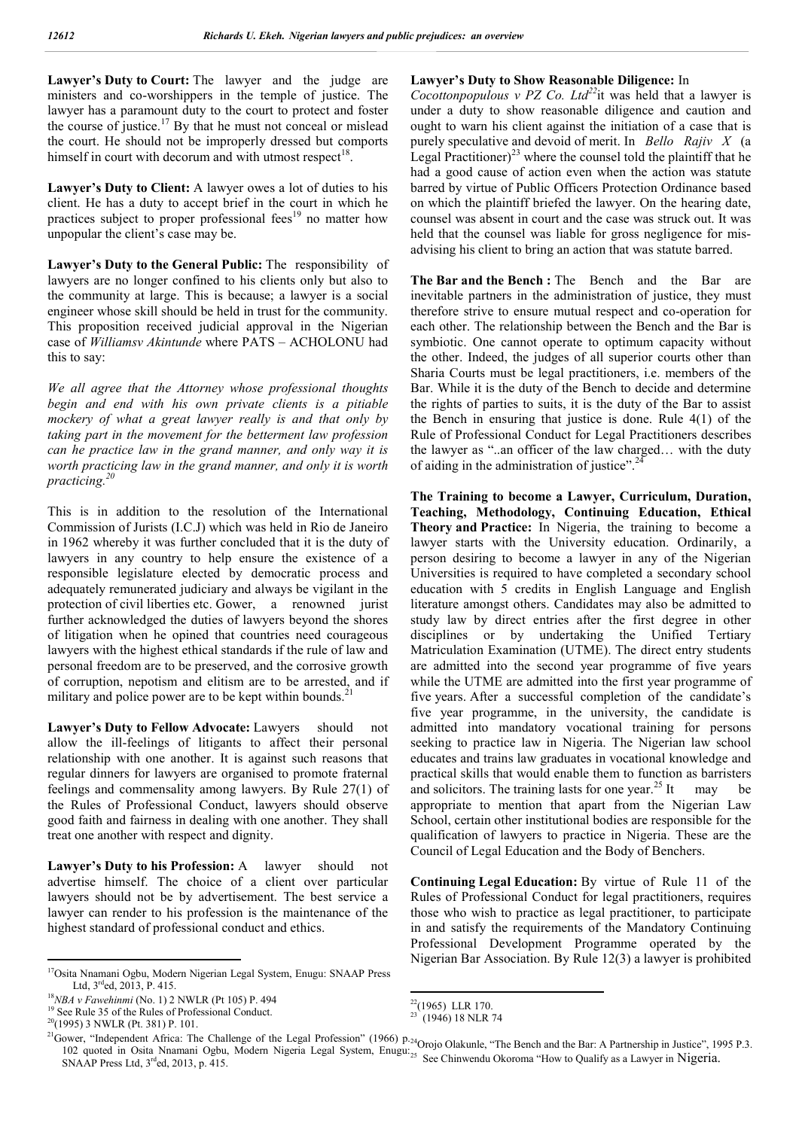Lawyer's Duty to Court: The lawyer and the judge are ministers and co-worshippers in the temple of justice. The lawyer has a paramount duty to the court to protect and foster the course of justice.<sup>17</sup> By that he must not conceal or mislead the court. He should not be improperly dressed but comports himself in court with decorum and with utmost respect<sup>18</sup>.

**Lawyer's Duty to Client:** A lawyer owes a lot of duties to his client. He has a duty to accept brief in the court in which he practices subject to proper professional fees<sup>19</sup> no matter how unpopular the client's case may be.

Lawyer's Duty to the General Public: The responsibility of lawyers are no longer confined to his clients only but also to the community at large. This is because; a lawyer is a social engineer whose skill should be held in trust for the community. This proposition received judicial approval in the Nigerian case of *Williamsv Akintunde* where PATS – ACHOLONU had this to say:

*We all agree that the Attorney whose professional thoughts begin and end with his own private clients is a pitiable mockery of what a great lawyer really is and that only by taking part in the movement for the betterment law profession can he practice law in the grand manner, and only way it is worth practicing law in the grand manner, and only it is worth practicing.20*

This is in addition to the resolution of the International Commission of Jurists (I.C.J) which was held in Rio de Janeiro in 1962 whereby it was further concluded that it is the duty of lawyers in any country to help ensure the existence of a responsible legislature elected by democratic process and adequately remunerated judiciary and always be vigilant in the protection of civil liberties etc. Gower, a renowned jurist further acknowledged the duties of lawyers beyond the shores of litigation when he opined that countries need courageous lawyers with the highest ethical standards if the rule of law and personal freedom are to be preserved, and the corrosive growth of corruption, nepotism and elitism are to be arrested, and if military and police power are to be kept within bounds. $^{21}$ 

Lawyer's Duty to Fellow Advocate: Lawyers should not allow the ill-feelings of litigants to affect their personal relationship with one another. It is against such reasons that regular dinners for lawyers are organised to promote fraternal feelings and commensality among lawyers. By Rule 27(1) of the Rules of Professional Conduct, lawyers should observe good faith and fairness in dealing with one another. They shall treat one another with respect and dignity.

Lawyer's Duty to his Profession: A lawyer should not advertise himself. The choice of a client over particular lawyers should not be by advertisement. The best service a lawyer can render to his profession is the maintenance of the highest standard of professional conduct and ethics.

#### **Lawyer's Duty to Show Reasonable Diligence:** In

*Cocottonpopulous v PZ Co. Ltd<sup>22</sup>*it was held that a lawyer is under a duty to show reasonable diligence and caution and ought to warn his client against the initiation of a case that is purely speculative and devoid of merit. In *Bello Rajiv X* (a Legal Practitioner)<sup>23</sup> where the counsel told the plaintiff that he had a good cause of action even when the action was statute barred by virtue of Public Officers Protection Ordinance based on which the plaintiff briefed the lawyer. On the hearing date, counsel was absent in court and the case was struck out. It was held that the counsel was liable for gross negligence for misadvising his client to bring an action that was statute barred.

**The Bar and the Bench :** The Bench and the Bar are inevitable partners in the administration of justice, they must therefore strive to ensure mutual respect and co-operation for each other. The relationship between the Bench and the Bar is symbiotic. One cannot operate to optimum capacity without the other. Indeed, the judges of all superior courts other than Sharia Courts must be legal practitioners, i.e. members of the Bar. While it is the duty of the Bench to decide and determine the rights of parties to suits, it is the duty of the Bar to assist the Bench in ensuring that justice is done. Rule 4(1) of the Rule of Professional Conduct for Legal Practitioners describes the lawyer as "..an officer of the law charged… with the duty of aiding in the administration of justice".<sup>24</sup>

**The Training to become a Lawyer, Curriculum, Duration, Teaching, Methodology, Continuing Education, Ethical Theory and Practice:** In Nigeria, the training to become a lawyer starts with the University education. Ordinarily, a person desiring to become a lawyer in any of the Nigerian Universities is required to have completed a secondary school education with 5 credits in English Language and English literature amongst others. Candidates may also be admitted to study law by direct entries after the first degree in other disciplines or by undertaking the Unified Tertiary Matriculation Examination (UTME). The direct entry students are admitted into the second year programme of five years while the UTME are admitted into the first year programme of five years. After a successful completion of the candidate's five year programme, in the university, the candidate is admitted into mandatory vocational training for persons seeking to practice law in Nigeria. The Nigerian law school educates and trains law graduates in vocational knowledge and practical skills that would enable them to function as barristers and solicitors. The training lasts for one year.<sup>25</sup> It may be appropriate to mention that apart from the Nigerian Law School, certain other institutional bodies are responsible for the qualification of lawyers to practice in Nigeria. These are the Council of Legal Education and the Body of Benchers.

**Continuing Legal Education:** By virtue of Rule 11 of the Rules of Professional Conduct for legal practitioners, requires those who wish to practice as legal practitioner, to participate in and satisfy the requirements of the Mandatory Continuing Professional Development Programme operated by the Nigerian Bar Association. By Rule 12(3) a lawyer is prohibited

 <sup>17</sup>Osita Nnamani Ogbu, Modern Nigerian Legal System, Enugu: SNAAP Press Ltd, 3<sup>rd</sup>ed, 2013, P. 415.<br><sup>18</sup>*NBA v Fawehinmi* (No. 1) 2 NWLR (Pt 105) P. 494<sup>19</sup> See Rule 35 of the Rules of Professional Conduct.

<sup>20(1995) 3</sup> NWLR (Pt. 381) P. 101.

 $22(1965)$  LLR 170.

 $23$  (1946) 18 NLR 74

 $21$ Gower, "Independent Africa: The Challenge of the Legal Profession" (1966) p. ower, Independent Africa: The Chanenge of the Legal Profession (1900) p.<sub>24</sub>Orojo Olakunle, "The Bench and the Bar: A Partnership in Justice", 1995 P.3.<br>102 quoted in Osita Nnamani Ogbu, Modern Nigeria Legal System, Enugu: SNAAP Press Ltd, 3<sup>rd</sup>ed, 2013, p. 415.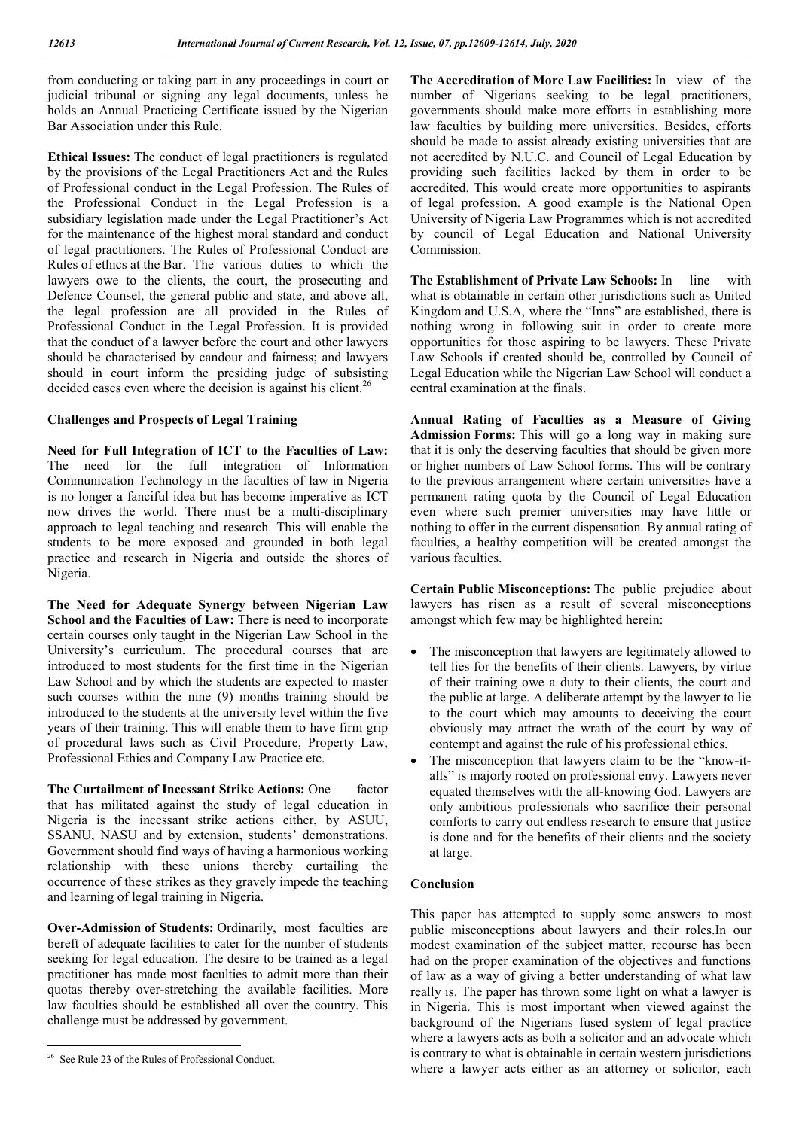from conducting or taking part in any proceedings in court or judicial tribunal or signing any legal documents, unless he holds an Annual Practicing Certificate issued by the Nigerian Bar Association under this Rule.

**Ethical Issues:** The conduct of legal practitioners is regulated by the provisions of the Legal Practitioners Act and the Rules of Professional conduct in the Legal Profession. The Rules of the Professional Conduct in the Legal Profession is a subsidiary legislation made under the Legal Practitioner's Act for the maintenance of the highest moral standard and conduct of legal practitioners. The Rules of Professional Conduct are Rules of ethics at the Bar. The various duties to which the lawyers owe to the clients, the court, the prosecuting and Defence Counsel, the general public and state, and above all, the legal profession are all provided in the Rules of Professional Conduct in the Legal Profession. It is provided that the conduct of a lawyer before the court and other lawyers should be characterised by candour and fairness; and lawyers should in court inform the presiding judge of subsisting decided cases even where the decision is against his client.<sup>26</sup>

#### **Challenges and Prospects of Legal Training**

**Need for Full Integration of ICT to the Faculties of Law:**  The need for the full integration of Information Communication Technology in the faculties of law in Nigeria is no longer a fanciful idea but has become imperative as ICT now drives the world. There must be a multi-disciplinary approach to legal teaching and research. This will enable the students to be more exposed and grounded in both legal practice and research in Nigeria and outside the shores of Nigeria.

**The Need for Adequate Synergy between Nigerian Law School and the Faculties of Law:** There is need to incorporate certain courses only taught in the Nigerian Law School in the University's curriculum. The procedural courses that are introduced to most students for the first time in the Nigerian Law School and by which the students are expected to master such courses within the nine (9) months training should be introduced to the students at the university level within the five years of their training. This will enable them to have firm grip of procedural laws such as Civil Procedure, Property Law, Professional Ethics and Company Law Practice etc.

**The Curtailment of Incessant Strike Actions: One** factor that has militated against the study of legal education in Nigeria is the incessant strike actions either, by ASUU, SSANU, NASU and by extension, students' demonstrations. Government should find ways of having a harmonious working relationship with these unions thereby curtailing the occurrence of these strikes as they gravely impede the teaching and learning of legal training in Nigeria.

**Over-Admission of Students:** Ordinarily, most faculties are bereft of adequate facilities to cater for the number of students seeking for legal education. The desire to be trained as a legal practitioner has made most faculties to admit more than their quotas thereby over-stretching the available facilities. More law faculties should be established all over the country. This challenge must be addressed by government.

**The Accreditation of More Law Facilities:** In view of the number of Nigerians seeking to be legal practitioners, governments should make more efforts in establishing more law faculties by building more universities. Besides, efforts should be made to assist already existing universities that are not accredited by N.U.C. and Council of Legal Education by providing such facilities lacked by them in order to be accredited. This would create more opportunities to aspirants of legal profession. A good example is the National Open University of Nigeria Law Programmes which is not accredited by council of Legal Education and National University Commission.

**The Establishment of Private Law Schools:** In line with what is obtainable in certain other jurisdictions such as United Kingdom and U.S.A, where the "Inns" are established, there is nothing wrong in following suit in order to create more opportunities for those aspiring to be lawyers. These Private Law Schools if created should be, controlled by Council of Legal Education while the Nigerian Law School will conduct a central examination at the finals.

**Annual Rating of Faculties as a Measure of Giving Admission Forms:** This will go a long way in making sure that it is only the deserving faculties that should be given more or higher numbers of Law School forms. This will be contrary to the previous arrangement where certain universities have a permanent rating quota by the Council of Legal Education even where such premier universities may have little or nothing to offer in the current dispensation. By annual rating of faculties, a healthy competition will be created amongst the various faculties.

**Certain Public Misconceptions:** The public prejudice about lawyers has risen as a result of several misconceptions amongst which few may be highlighted herein:

- The misconception that lawyers are legitimately allowed to tell lies for the benefits of their clients. Lawyers, by virtue of their training owe a duty to their clients, the court and the public at large. A deliberate attempt by the lawyer to lie to the court which may amounts to deceiving the court obviously may attract the wrath of the court by way of contempt and against the rule of his professional ethics.
- The misconception that lawyers claim to be the "know-italls" is majorly rooted on professional envy. Lawyers never equated themselves with the all-knowing God. Lawyers are only ambitious professionals who sacrifice their personal comforts to carry out endless research to ensure that justice is done and for the benefits of their clients and the society at large.

#### **Conclusion**

This paper has attempted to supply some answers to most public misconceptions about lawyers and their roles.In our modest examination of the subject matter, recourse has been had on the proper examination of the objectives and functions of law as a way of giving a better understanding of what law really is. The paper has thrown some light on what a lawyer is in Nigeria. This is most important when viewed against the background of the Nigerians fused system of legal practice where a lawyers acts as both a solicitor and an advocate which is contrary to what is obtainable in certain western jurisdictions where a lawyer acts either as an attorney or solicitor, each

 <sup>26</sup> See Rule 23 of the Rules of Professional Conduct.